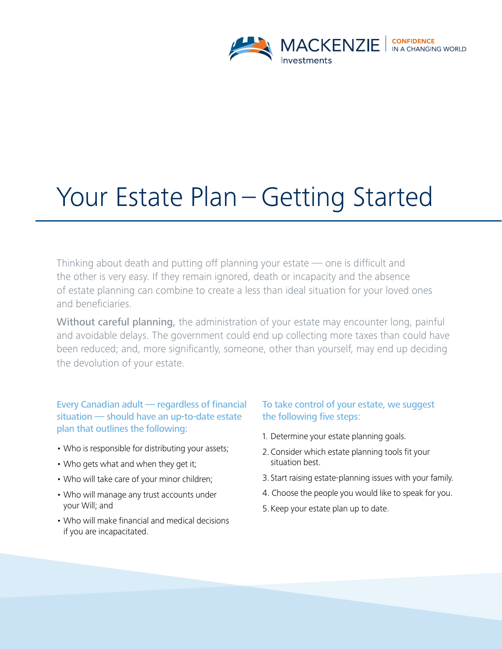

# Your Estate Plan – Getting Started

Thinking about death and putting off planning your estate — one is difficult and the other is very easy. If they remain ignored, death or incapacity and the absence of estate planning can combine to create a less than ideal situation for your loved ones and beneficiaries.

Without careful planning, the administration of your estate may encounter long, painful and avoidable delays. The government could end up collecting more taxes than could have been reduced; and, more significantly, someone, other than yourself, may end up deciding the devolution of your estate.

Every Canadian adult — regardless of financial situation — should have an up-to-date estate plan that outlines the following:

- Who is responsible for distributing your assets;
- Who gets what and when they get it;
- Who will take care of your minor children;
- Who will manage any trust accounts under your Will; and
- Who will make financial and medical decisions if you are incapacitated.

# To take control of your estate, we suggest the following five steps:

- 1. Determine your estate planning goals.
- 2. Consider which estate planning tools fit your situation best.
- 3. Start raising estate-planning issues with your family.
- 4. Choose the people you would like to speak for you.
- 5. Keep your estate plan up to date.